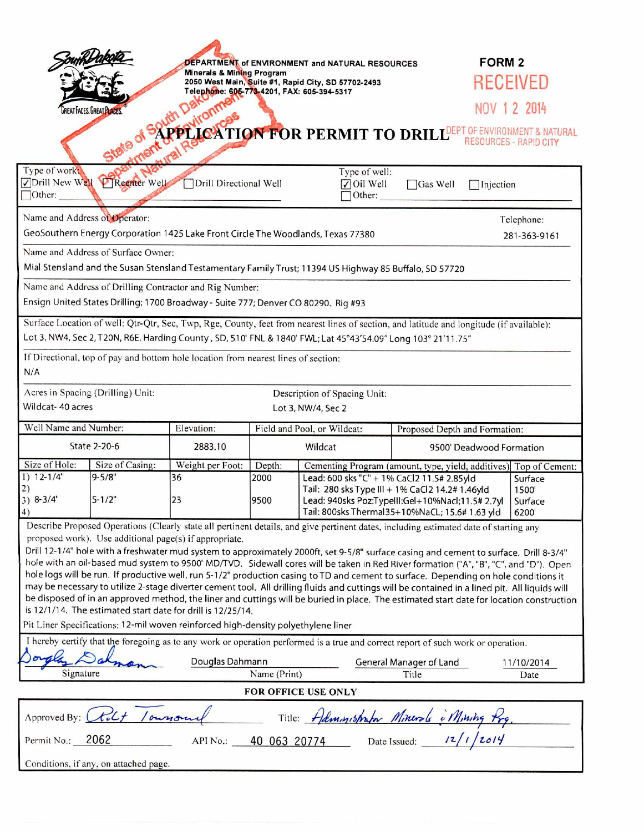|                                                                                                                                                                                                                                                                                                                                                                                                                                                                                                                                                                                                                                                                                                                                                                                                                                               |                                       |                                                                                  |                             | DEPARTMENT of ENVIRONMENT and NATURAL RESOURCES                                                                                                                                                                               |                                                                   | <b>FORM 2</b>      |  |
|-----------------------------------------------------------------------------------------------------------------------------------------------------------------------------------------------------------------------------------------------------------------------------------------------------------------------------------------------------------------------------------------------------------------------------------------------------------------------------------------------------------------------------------------------------------------------------------------------------------------------------------------------------------------------------------------------------------------------------------------------------------------------------------------------------------------------------------------------|---------------------------------------|----------------------------------------------------------------------------------|-----------------------------|-------------------------------------------------------------------------------------------------------------------------------------------------------------------------------------------------------------------------------|-------------------------------------------------------------------|--------------------|--|
|                                                                                                                                                                                                                                                                                                                                                                                                                                                                                                                                                                                                                                                                                                                                                                                                                                               |                                       | Minerals & Mining Program<br>2050 West Main, Suite #1, Rapid City, SD 57702-2493 |                             |                                                                                                                                                                                                                               |                                                                   | RECEIVED           |  |
| Telephone: 605-773-4201, FAX: 605-394-5317<br><b>GREAT FACES, GREAT PLACES</b>                                                                                                                                                                                                                                                                                                                                                                                                                                                                                                                                                                                                                                                                                                                                                                |                                       |                                                                                  |                             |                                                                                                                                                                                                                               |                                                                   | NOV 1 2 2014       |  |
|                                                                                                                                                                                                                                                                                                                                                                                                                                                                                                                                                                                                                                                                                                                                                                                                                                               |                                       |                                                                                  |                             |                                                                                                                                                                                                                               |                                                                   |                    |  |
| PPLICATION FOR PERMIT TO DRILL <sup>DEPT OF ENVIRONMENT &amp; NATURAL</sup><br><b>RESOURCES - RAPID CITY</b>                                                                                                                                                                                                                                                                                                                                                                                                                                                                                                                                                                                                                                                                                                                                  |                                       |                                                                                  |                             |                                                                                                                                                                                                                               |                                                                   |                    |  |
| Type of work:<br>Type of well:<br><b>PTReenter Well</b><br><b>√Drill New Well</b><br>Drill Directional Well<br>$\sqrt{\frac{1}{1}}$ Oil Well<br>$\Box$ Gas Well<br>$\Box$ Injection<br>[Other:<br>Other:                                                                                                                                                                                                                                                                                                                                                                                                                                                                                                                                                                                                                                      |                                       |                                                                                  |                             |                                                                                                                                                                                                                               |                                                                   |                    |  |
| Name and Address of Operator:                                                                                                                                                                                                                                                                                                                                                                                                                                                                                                                                                                                                                                                                                                                                                                                                                 |                                       |                                                                                  |                             |                                                                                                                                                                                                                               |                                                                   | Telephone:         |  |
| GeoSouthern Energy Corporation 1425 Lake Front Circle The Woodlands, Texas 77380                                                                                                                                                                                                                                                                                                                                                                                                                                                                                                                                                                                                                                                                                                                                                              |                                       |                                                                                  |                             |                                                                                                                                                                                                                               |                                                                   | 281-363-9161       |  |
| Name and Address of Surface Owner:                                                                                                                                                                                                                                                                                                                                                                                                                                                                                                                                                                                                                                                                                                                                                                                                            |                                       |                                                                                  |                             |                                                                                                                                                                                                                               |                                                                   |                    |  |
| Mial Stensland and the Susan Stensland Testamentary Family Trust; 11394 US Highway 85 Buffalo, SD 57720                                                                                                                                                                                                                                                                                                                                                                                                                                                                                                                                                                                                                                                                                                                                       |                                       |                                                                                  |                             |                                                                                                                                                                                                                               |                                                                   |                    |  |
| Name and Address of Drilling Contractor and Rig Number:                                                                                                                                                                                                                                                                                                                                                                                                                                                                                                                                                                                                                                                                                                                                                                                       |                                       |                                                                                  |                             |                                                                                                                                                                                                                               |                                                                   |                    |  |
| Ensign United States Drilling; 1700 Broadway - Suite 777; Denver CO 80290. Rig #93                                                                                                                                                                                                                                                                                                                                                                                                                                                                                                                                                                                                                                                                                                                                                            |                                       |                                                                                  |                             |                                                                                                                                                                                                                               |                                                                   |                    |  |
| Surface Location of well: Qtr-Qtr, Sec, Twp, Rge, County, feet from nearest lines of section, and latitude and longitude (if available):<br>Lot 3, NW4, Sec 2, T20N, R6E, Harding County, SD, 510' FNL & 1840' FWL; Lat 45°43'54.09" Long 103° 21'11.75"                                                                                                                                                                                                                                                                                                                                                                                                                                                                                                                                                                                      |                                       |                                                                                  |                             |                                                                                                                                                                                                                               |                                                                   |                    |  |
| If Directional, top of pay and bottom hole location from nearest lines of section:                                                                                                                                                                                                                                                                                                                                                                                                                                                                                                                                                                                                                                                                                                                                                            |                                       |                                                                                  |                             |                                                                                                                                                                                                                               |                                                                   |                    |  |
| N/A                                                                                                                                                                                                                                                                                                                                                                                                                                                                                                                                                                                                                                                                                                                                                                                                                                           |                                       |                                                                                  |                             |                                                                                                                                                                                                                               |                                                                   |                    |  |
| Acres in Spacing (Drilling) Unit:<br>Description of Spacing Unit:                                                                                                                                                                                                                                                                                                                                                                                                                                                                                                                                                                                                                                                                                                                                                                             |                                       |                                                                                  |                             |                                                                                                                                                                                                                               |                                                                   |                    |  |
| Wildcat- 40 acres<br>Lot 3, NW/4, Sec 2                                                                                                                                                                                                                                                                                                                                                                                                                                                                                                                                                                                                                                                                                                                                                                                                       |                                       |                                                                                  |                             |                                                                                                                                                                                                                               |                                                                   |                    |  |
| Well Name and Number:                                                                                                                                                                                                                                                                                                                                                                                                                                                                                                                                                                                                                                                                                                                                                                                                                         |                                       | Elevation:                                                                       | Field and Pool, or Wildcat: |                                                                                                                                                                                                                               | Proposed Depth and Formation:                                     |                    |  |
| <b>State 2-20-6</b>                                                                                                                                                                                                                                                                                                                                                                                                                                                                                                                                                                                                                                                                                                                                                                                                                           |                                       | 2883.10                                                                          | Wildcat                     |                                                                                                                                                                                                                               | 9500' Deadwood Formation                                          |                    |  |
| Size of Hole:<br>$1) 12-1/4"$                                                                                                                                                                                                                                                                                                                                                                                                                                                                                                                                                                                                                                                                                                                                                                                                                 | Size of Casing:<br>$9 - 5/8"$         | Weight per Foot:<br>36                                                           | Depth:<br>2000              |                                                                                                                                                                                                                               | Cementing Program (amount, type, yield, additives) Top of Cement: | Surface            |  |
| 2)<br>$3) 8-3/4"$<br>4)                                                                                                                                                                                                                                                                                                                                                                                                                                                                                                                                                                                                                                                                                                                                                                                                                       | $5 - 1/2"$                            | 23                                                                               | 9500                        | Lead: 600 sks "C" + 1% CaCl2 11.5# 2.85yld<br>Tail: 280 sks Type III + 1% CaCl2 14.2# 1.46yld<br>1500<br>Lead: 940sks Poz:Typelll:Gel+10%Nacl;11.5#2.7yl<br>Surface<br>Tail: 800sks Thermal35+10%NaCL; 15.6# 1.63 yld<br>6200 |                                                                   |                    |  |
| Describe Proposed Operations (Clearly state all pertinent details, and give pertinent dates, including estimated date of starting any                                                                                                                                                                                                                                                                                                                                                                                                                                                                                                                                                                                                                                                                                                         |                                       |                                                                                  |                             |                                                                                                                                                                                                                               |                                                                   |                    |  |
| proposed work). Use additional page(s) if appropriate.<br>Drill 12-1/4" hole with a freshwater mud system to approximately 2000ft, set 9-5/8" surface casing and cement to surface. Drill 8-3/4"<br>hole with an oil-based mud system to 9500' MD/TVD. Sidewall cores will be taken in Red River formation ("A", "B", "C", and "D"). Open<br>hole logs will be run. If productive well, run 5-1/2" production casing to TD and cement to surface. Depending on hole conditions it<br>may be necessary to utilize 2-stage diverter cement tool. All drilling fluids and cuttings will be contained in a lined pit. All liquids will<br>be disposed of in an approved method, the liner and cuttings will be buried in place. The estimated start date for location construction<br>is 12/1/14. The estimated start date for drill is 12/25/14. |                                       |                                                                                  |                             |                                                                                                                                                                                                                               |                                                                   |                    |  |
| Pit Liner Specifications: 12-mil woven reinforced high-density polyethylene liner                                                                                                                                                                                                                                                                                                                                                                                                                                                                                                                                                                                                                                                                                                                                                             |                                       |                                                                                  |                             |                                                                                                                                                                                                                               |                                                                   |                    |  |
| I hereby certify that the foregoing as to any work or operation performed is a true and correct report of such work or operation.                                                                                                                                                                                                                                                                                                                                                                                                                                                                                                                                                                                                                                                                                                             |                                       |                                                                                  |                             |                                                                                                                                                                                                                               |                                                                   |                    |  |
| Signature                                                                                                                                                                                                                                                                                                                                                                                                                                                                                                                                                                                                                                                                                                                                                                                                                                     |                                       | Douglas Dahmann<br>Name (Print)                                                  |                             |                                                                                                                                                                                                                               | General Manager of Land<br>Title                                  | 11/10/2014<br>Date |  |
| FOR OFFICE USE ONLY                                                                                                                                                                                                                                                                                                                                                                                                                                                                                                                                                                                                                                                                                                                                                                                                                           |                                       |                                                                                  |                             |                                                                                                                                                                                                                               |                                                                   |                    |  |
| Approved By: Clock / owner                                                                                                                                                                                                                                                                                                                                                                                                                                                                                                                                                                                                                                                                                                                                                                                                                    |                                       |                                                                                  |                             |                                                                                                                                                                                                                               |                                                                   |                    |  |
| Title: Administrator Minerals Mining Prg.<br>40 063 20774 Date Issued: 12/1/2014<br>Permit No.: 2062<br>API No.:                                                                                                                                                                                                                                                                                                                                                                                                                                                                                                                                                                                                                                                                                                                              |                                       |                                                                                  |                             |                                                                                                                                                                                                                               |                                                                   |                    |  |
|                                                                                                                                                                                                                                                                                                                                                                                                                                                                                                                                                                                                                                                                                                                                                                                                                                               | Conditions, if any, on attached page. |                                                                                  |                             |                                                                                                                                                                                                                               |                                                                   |                    |  |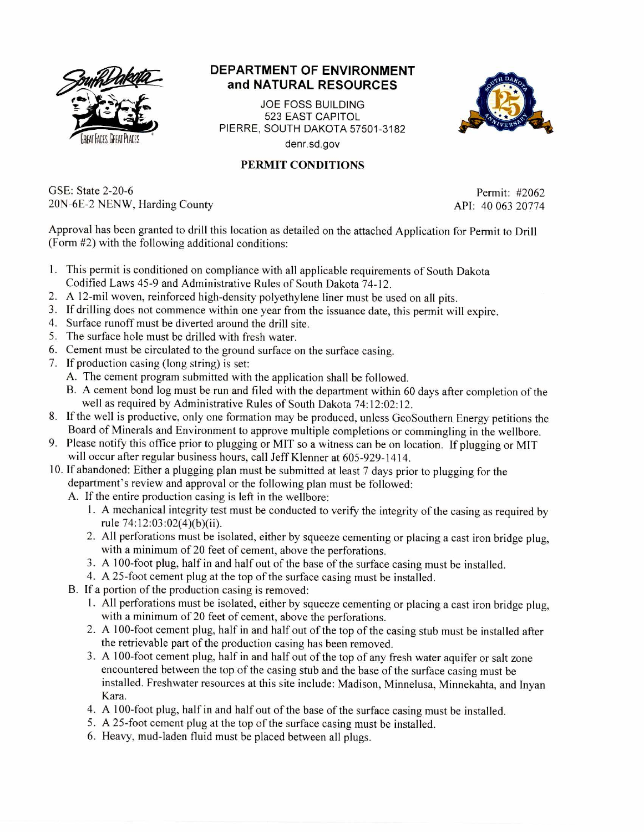

## **DEPARTMENT OF ENVIRONMENT and NATURAL RESOURCES**

JOE FOSS BUILDING 523 EAST CAPITOL PIERRE. SOUTH DAKOTA 57501-3182 denr.sd.gov



## **PERMIT CONDITIONS**

GSE: State 2-20-6 Permit: #2062 20N-6E-2 NENW, Harding County API: 40 063 20774

Approval has been granted to drill this location as detailed on the attached Application for Permit to Drill (Form #2) with the following additional conditions:

- 1. This permit is conditioned on compliance with all applicable requirements of South Dakota Codified Laws 45-9 and Administrative Rules of South Dakota 74-12.
- 2. A 12-mil woven, reinforced high-density polyethylene liner must be used on all pits.
- 3. If drilling does not commence within one year from the issuance date, this permit will expire.
- 4. Surface runoff must be diverted around the drill site.
- 5. The surface hole must be drilled with fresh water.
- 6. Cement must be circulated to the ground surface on the surface casing.
- 7. If production casing (long string) is set:
	- A. The cement program submitted with the application shall be followed.
	- B. A cement bond log must be run and filed with the department within 60 days after completion of the well as required by Administrative Rules of South Dakota 74:12:02:12.
- 8. If the well is productive, only one formation may be produced, unless GeoSouthern Energy petitions the Board of Minerals and Environment to approve multiple completions or commingling in the wellbore.
- 9. Please notify this office prior to plugging or MIT so a witness can be on location. If plugging or MIT will occur after regular business hours, call Jeff Klenner at 605-929-1414.
- 10. If abandoned: Either a plugging plan must be submitted at least 7 days prior to plugging for the department's review and approval or the following plan must be followed:
	- A. If the entire production casing is left in the wellbore:
		- 1. A mechanical integrity test must be conducted to verify the integrity of the casing as required by rule 74:12:03:02(4)(b)(ii).
		- 2. All perforations must be isolated, either by squeeze cementing or placing a cast iron bridge plug, with a minimum of 20 feet of cement, above the perforations.
		- 3. A 100-foot plug, half in and half out of the base of the surface casing must be installed.
		- 4. A 25-foot cement plug at the top of the surface casing must be installed.
	- B. If a portion of the production casing is removed:
		- 1. All perforations must be isolated, either by squeeze cementing or placing a cast iron bridge plug, with a minimum of 20 feet of cement, above the perforations.
		- 2. A 100-foot cement plug, half in and half out of the top of the casing stub must be installed after the retrievable part of the production casing has been removed.
		- 3. A 100-foot cement plug, half in and half out of the top of any fresh water aquifer or salt zone encountered between the top of the casing stub and the base of the surface casing must be installed. Freshwater resources at this site include: Madison, Minnelusa, Minnekahta, and Inyan Kara.
		- 4. A 100-foot plug, half in and half out of the base of the surface casing must be installed.
		- **5. A** 25-foot cement plug at the top of the surface casing must be installed.
		- 6. Heavy, mud-laden fluid must be placed between all plugs.